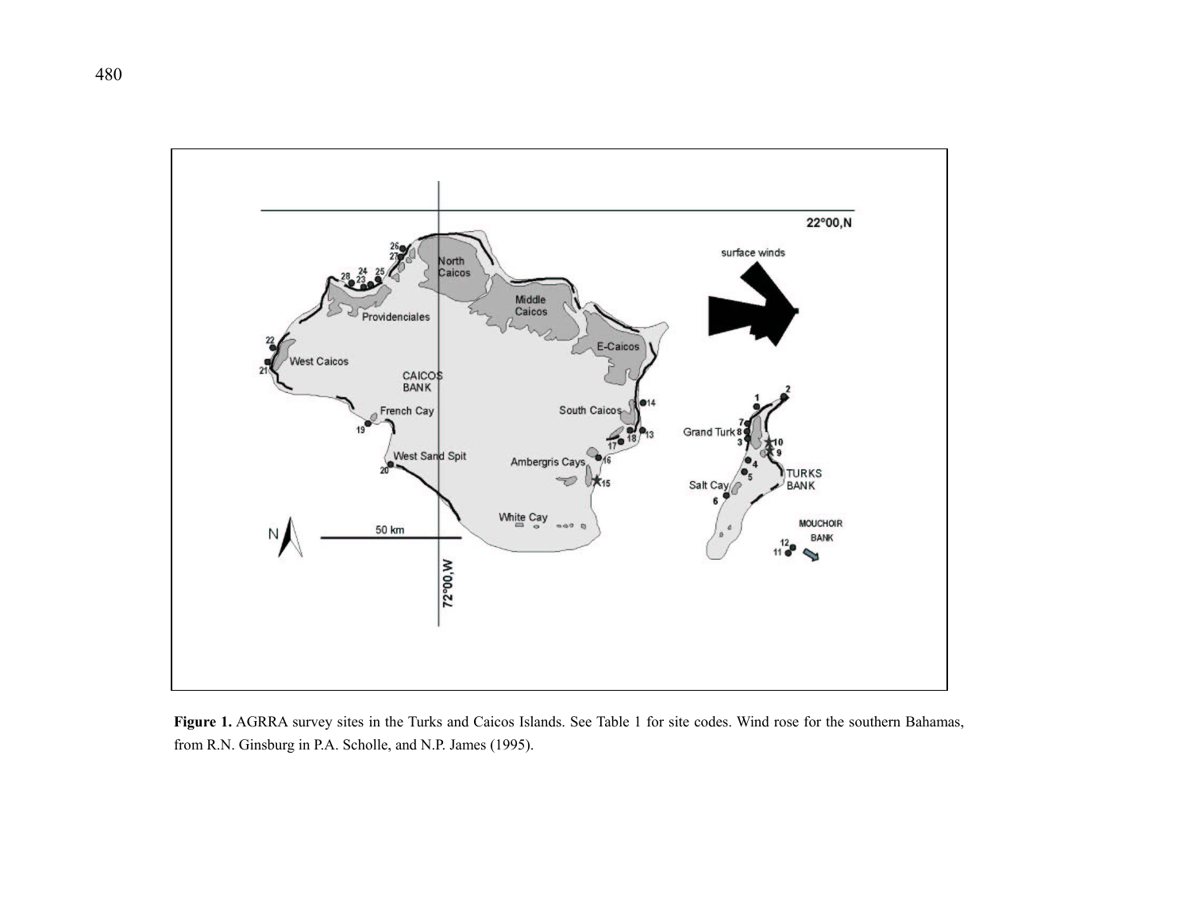

**Figure 1.** AGRRA survey sites in the Turks and Caicos Islands. See Table 1 for site codes. Wind rose for the southern Bahamas, from R.N. Ginsburg in P.A. Scholle, and N.P. James (1995).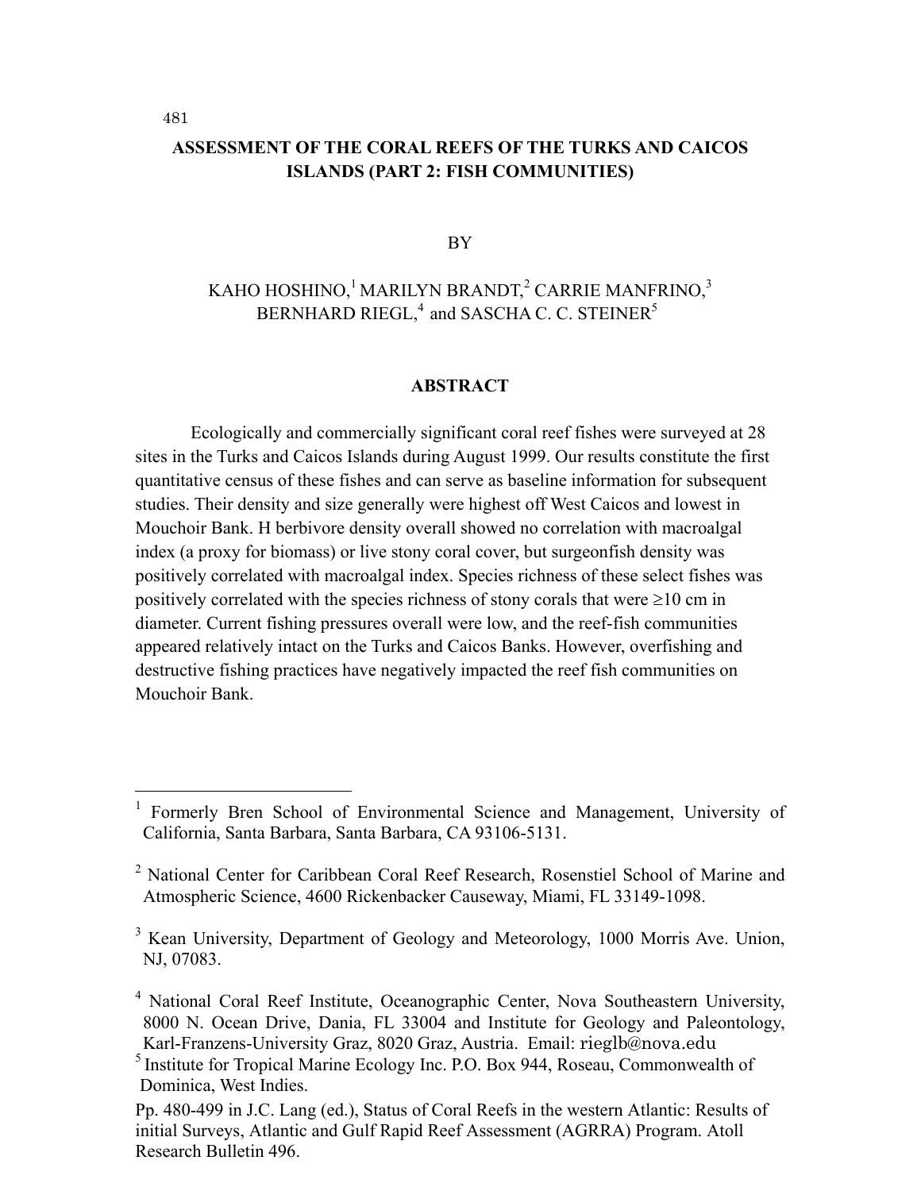# **ASSESSMENT OF THE CORAL REEFS OF THE TURKS AND CAICOS ISLANDS (PART 2: FISH COMMUNITIES)**

#### BY

# KAHO HOSHINO,  $^1$ MARILYN BRANDT, $^2$  CARRIE MANFRINO, $^3$ BERNHARD RIEGL, $4$  and SASCHA C. C. STEINER $5$

### **ABSTRACT**

Ecologically and commercially significant coral reef fishes were surveyed at 28 sites in the Turks and Caicos Islands during August 1999. Our results constitute the first quantitative census of these fishes and can serve as baseline information for subsequent studies. Their density and size generally were highest off West Caicos and lowest in Mouchoir Bank. H berbivore density overall showed no correlation with macroalgal index (a proxy for biomass) or live stony coral cover, but surgeonfish density was positively correlated with macroalgal index. Species richness of these select fishes was positively correlated with the species richness of stony corals that were  $\geq 10$  cm in diameter. Current fishing pressures overall were low, and the reef-fish communities appeared relatively intact on the Turks and Caicos Banks. However, overfishing and destructive fishing practices have negatively impacted the reef fish communities on Mouchoir Bank.

<sup>&</sup>lt;sup>1</sup> Formerly Bren School of Environmental Science and Management, University of California, Santa Barbara, Santa Barbara, CA 93106-5131.

<sup>&</sup>lt;sup>2</sup> National Center for Caribbean Coral Reef Research, Rosenstiel School of Marine and Atmospheric Science, 4600 Rickenbacker Causeway, Miami, FL 33149-1098.

<sup>&</sup>lt;sup>3</sup> Kean University, Department of Geology and Meteorology, 1000 Morris Ave. Union, NJ, 07083.

<sup>&</sup>lt;sup>4</sup> National Coral Reef Institute, Oceanographic Center, Nova Southeastern University, 8000 N. Ocean Drive, Dania, FL 33004 and Institute for Geology and Paleontology, Karl-Franzens-University Graz, 8020 Graz, Austria. Email: rieglb@nova.edu

<sup>5</sup> Institute for Tropical Marine Ecology Inc. P.O. Box 944, Roseau, Commonwealth of Dominica, West Indies.

Pp. 480-499 in J.C. Lang (ed.), Status of Coral Reefs in the western Atlantic: Results of initial Surveys, Atlantic and Gulf Rapid Reef Assessment (AGRRA) Program. Atoll Research Bulletin 496.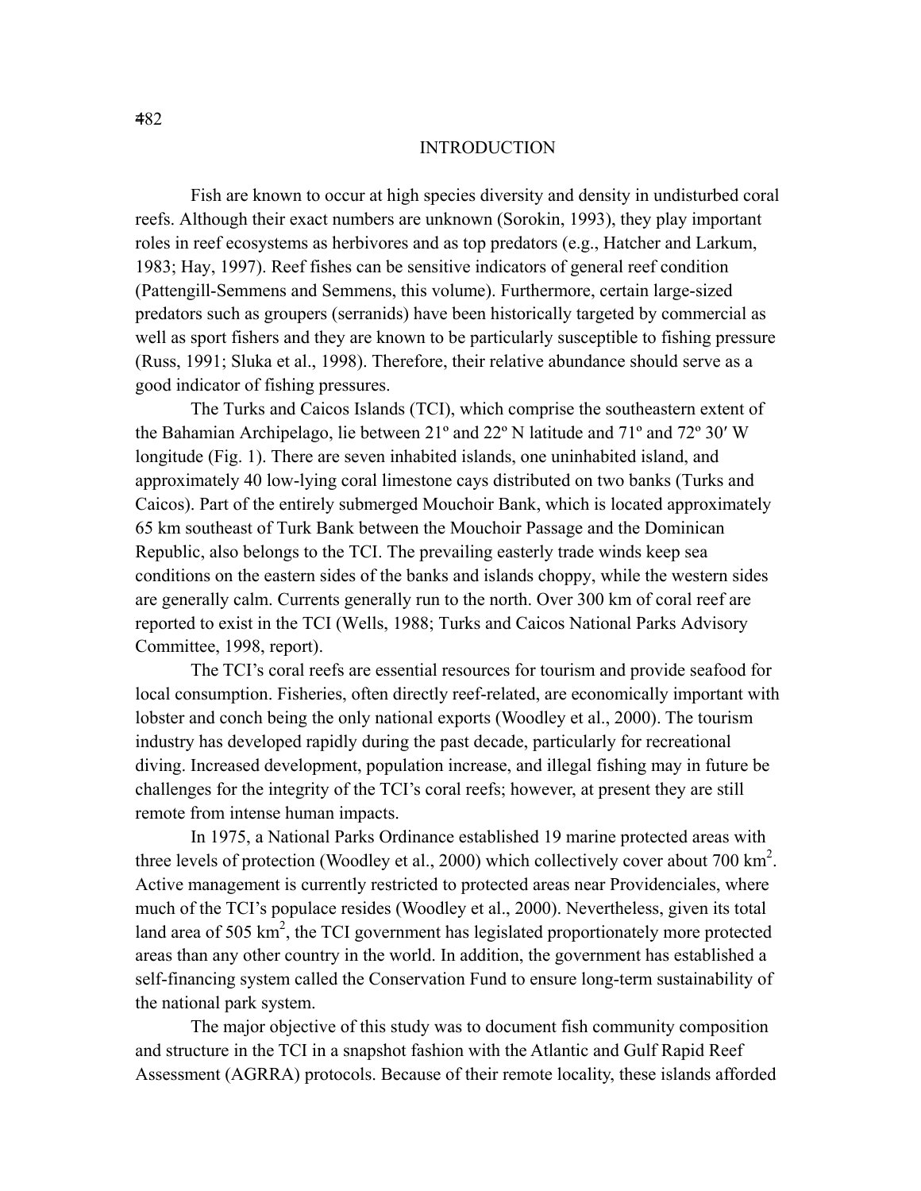### **INTRODUCTION**

Fish are known to occur at high species diversity and density in undisturbed coral reefs. Although their exact numbers are unknown (Sorokin, 1993), they play important roles in reef ecosystems as herbivores and as top predators (e.g., Hatcher and Larkum, 1983; Hay, 1997). Reef fishes can be sensitive indicators of general reef condition (Pattengill-Semmens and Semmens, this volume). Furthermore, certain large-sized predators such as groupers (serranids) have been historically targeted by commercial as well as sport fishers and they are known to be particularly susceptible to fishing pressure (Russ, 1991; Sluka et al., 1998). Therefore, their relative abundance should serve as a good indicator of fishing pressures.

The Turks and Caicos Islands (TCI), which comprise the southeastern extent of the Bahamian Archipelago, lie between 21º and 22º N latitude and 71º and 72º 30′ W longitude (Fig. 1). There are seven inhabited islands, one uninhabited island, and approximately 40 low-lying coral limestone cays distributed on two banks (Turks and Caicos). Part of the entirely submerged Mouchoir Bank, which is located approximately 65 km southeast of Turk Bank between the Mouchoir Passage and the Dominican Republic, also belongs to the TCI. The prevailing easterly trade winds keep sea conditions on the eastern sides of the banks and islands choppy, while the western sides are generally calm. Currents generally run to the north. Over 300 km of coral reef are reported to exist in the TCI (Wells, 1988; Turks and Caicos National Parks Advisory Committee, 1998, report).

The TCI's coral reefs are essential resources for tourism and provide seafood for local consumption. Fisheries, often directly reef-related, are economically important with lobster and conch being the only national exports (Woodley et al., 2000). The tourism industry has developed rapidly during the past decade, particularly for recreational diving. Increased development, population increase, and illegal fishing may in future be challenges for the integrity of the TCI's coral reefs; however, at present they are still remote from intense human impacts.

In 1975, a National Parks Ordinance established 19 marine protected areas with three levels of protection (Woodley et al., 2000) which collectively cover about 700 km<sup>2</sup>. Active management is currently restricted to protected areas near Providenciales, where much of the TCI's populace resides (Woodley et al., 2000). Nevertheless, given its total land area of 505  $\text{km}^2$ , the TCI government has legislated proportionately more protected areas than any other country in the world. In addition, the government has established a self-financing system called the Conservation Fund to ensure long-term sustainability of the national park system.

The major objective of this study was to document fish community composition and structure in the TCI in a snapshot fashion with the Atlantic and Gulf Rapid Reef Assessment (AGRRA) protocols. Because of their remote locality, these islands afforded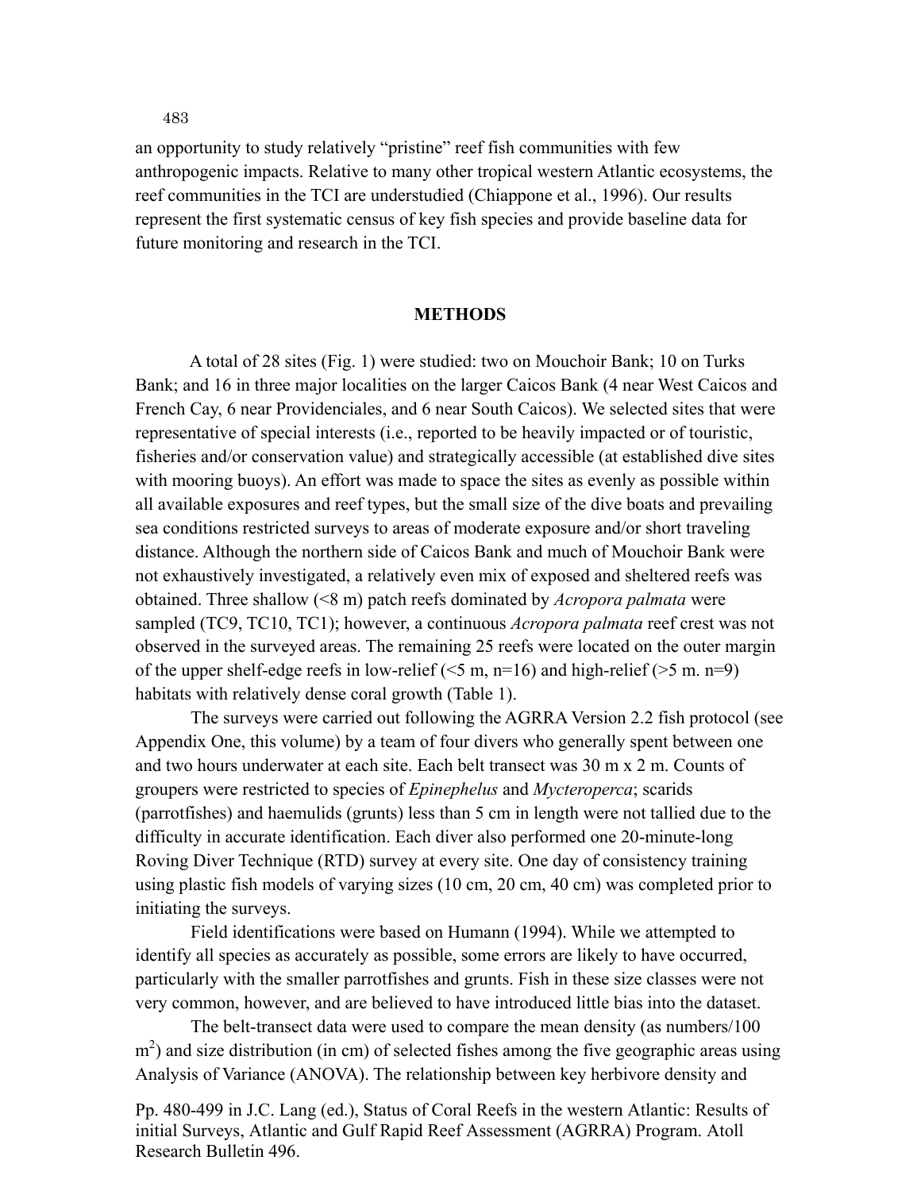an opportunity to study relatively "pristine" reef fish communities with few anthropogenic impacts. Relative to many other tropical western Atlantic ecosystems, the reef communities in the TCI are understudied (Chiappone et al., 1996). Our results represent the first systematic census of key fish species and provide baseline data for future monitoring and research in the TCI.

### **METHODS**

 A total of 28 sites (Fig. 1) were studied: two on Mouchoir Bank; 10 on Turks Bank; and 16 in three major localities on the larger Caicos Bank (4 near West Caicos and French Cay, 6 near Providenciales, and 6 near South Caicos). We selected sites that were representative of special interests (i.e., reported to be heavily impacted or of touristic, fisheries and/or conservation value) and strategically accessible (at established dive sites with mooring buoys). An effort was made to space the sites as evenly as possible within all available exposures and reef types, but the small size of the dive boats and prevailing sea conditions restricted surveys to areas of moderate exposure and/or short traveling distance. Although the northern side of Caicos Bank and much of Mouchoir Bank were not exhaustively investigated, a relatively even mix of exposed and sheltered reefs was obtained. Three shallow (<8 m) patch reefs dominated by *Acropora palmata* were sampled (TC9, TC10, TC1); however, a continuous *Acropora palmata* reef crest was not observed in the surveyed areas. The remaining 25 reefs were located on the outer margin of the upper shelf-edge reefs in low-relief ( $\leq 5$  m, n=16) and high-relief ( $> 5$  m. n=9) habitats with relatively dense coral growth (Table 1).

The surveys were carried out following the AGRRA Version 2.2 fish protocol (see Appendix One, this volume) by a team of four divers who generally spent between one and two hours underwater at each site. Each belt transect was 30 m x 2 m. Counts of groupers were restricted to species of *Epinephelus* and *Mycteroperca*; scarids (parrotfishes) and haemulids (grunts) less than 5 cm in length were not tallied due to the difficulty in accurate identification. Each diver also performed one 20-minute-long Roving Diver Technique (RTD) survey at every site. One day of consistency training using plastic fish models of varying sizes (10 cm, 20 cm, 40 cm) was completed prior to initiating the surveys.

Field identifications were based on Humann (1994). While we attempted to identify all species as accurately as possible, some errors are likely to have occurred, particularly with the smaller parrotfishes and grunts. Fish in these size classes were not very common, however, and are believed to have introduced little bias into the dataset.

The belt-transect data were used to compare the mean density (as numbers/100  $\text{m}^2$ ) and size distribution (in cm) of selected fishes among the five geographic areas using Analysis of Variance (ANOVA). The relationship between key herbivore density and

Pp. 480-499 in J.C. Lang (ed.), Status of Coral Reefs in the western Atlantic: Results of initial Surveys, Atlantic and Gulf Rapid Reef Assessment (AGRRA) Program. Atoll Research Bulletin 496.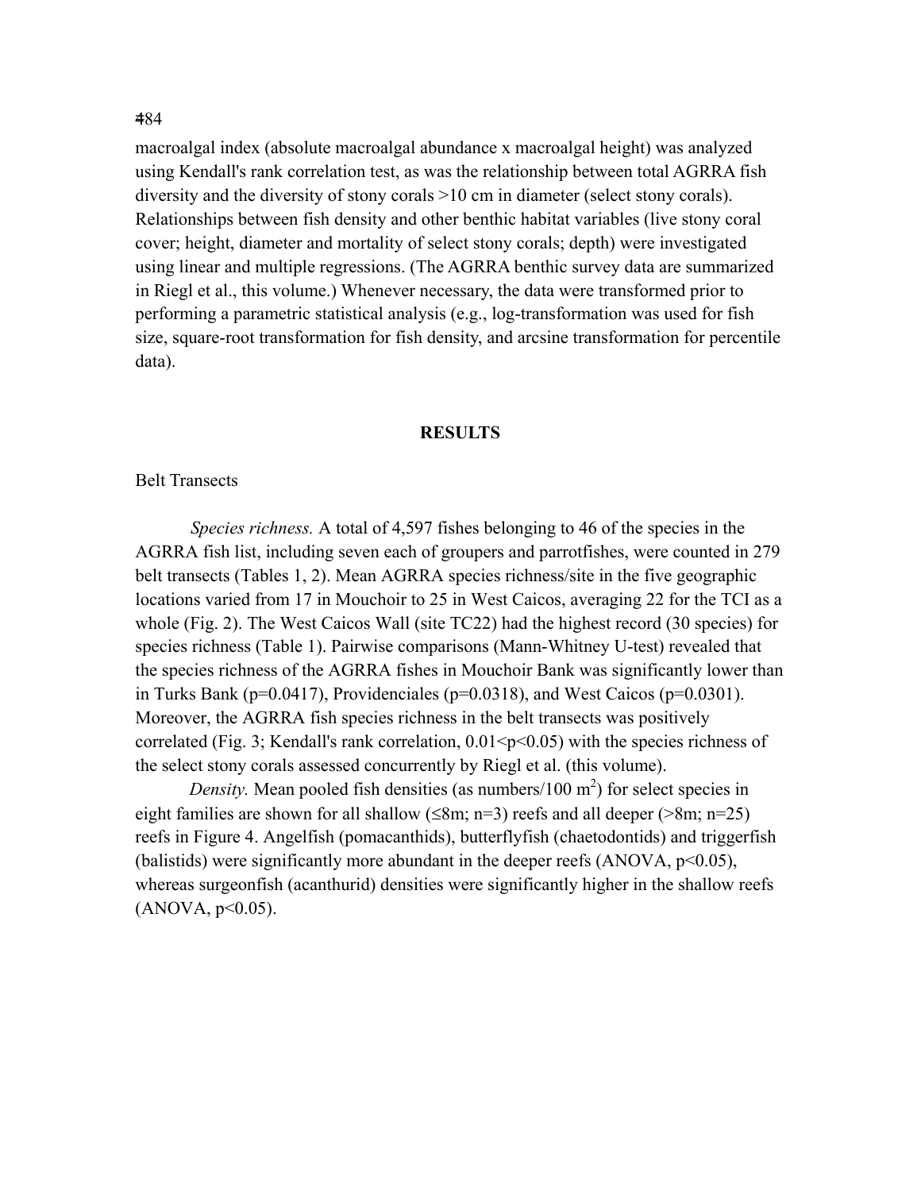macroalgal index (absolute macroalgal abundance x macroalgal height) was analyzed using Kendall's rank correlation test, as was the relationship between total AGRRA fish diversity and the diversity of stony corals >10 cm in diameter (select stony corals). Relationships between fish density and other benthic habitat variables (live stony coral cover; height, diameter and mortality of select stony corals; depth) were investigated using linear and multiple regressions. (The AGRRA benthic survey data are summarized in Riegl et al., this volume.) Whenever necessary, the data were transformed prior to performing a parametric statistical analysis (e.g., log-transformation was used for fish size, square-root transformation for fish density, and arcsine transformation for percentile data).

#### **RESULTS**

### Belt Transects

*Species richness.* A total of 4,597 fishes belonging to 46 of the species in the AGRRA fish list, including seven each of groupers and parrotfishes, were counted in 279 belt transects (Tables 1, 2). Mean AGRRA species richness/site in the five geographic locations varied from 17 in Mouchoir to 25 in West Caicos, averaging 22 for the TCI as a whole (Fig. 2). The West Caicos Wall (site TC22) had the highest record (30 species) for species richness (Table 1). Pairwise comparisons (Mann-Whitney U-test) revealed that the species richness of the AGRRA fishes in Mouchoir Bank was significantly lower than in Turks Bank ( $p=0.0417$ ), Providenciales ( $p=0.0318$ ), and West Caicos ( $p=0.0301$ ). Moreover, the AGRRA fish species richness in the belt transects was positively correlated (Fig. 3; Kendall's rank correlation,  $0.01 \le p \le 0.05$ ) with the species richness of the select stony corals assessed concurrently by Riegl et al. (this volume).

*Density*. Mean pooled fish densities (as numbers/100  $m<sup>2</sup>$ ) for select species in eight families are shown for all shallow ( $\leq 8m$ ; n=3) reefs and all deeper ( $>8m$ ; n=25) reefs in Figure 4. Angelfish (pomacanthids), butterflyfish (chaetodontids) and triggerfish (balistids) were significantly more abundant in the deeper reefs  $(ANOVA, p<0.05)$ , whereas surgeonfish (acanthurid) densities were significantly higher in the shallow reefs  $(ANOVA, p<0.05)$ .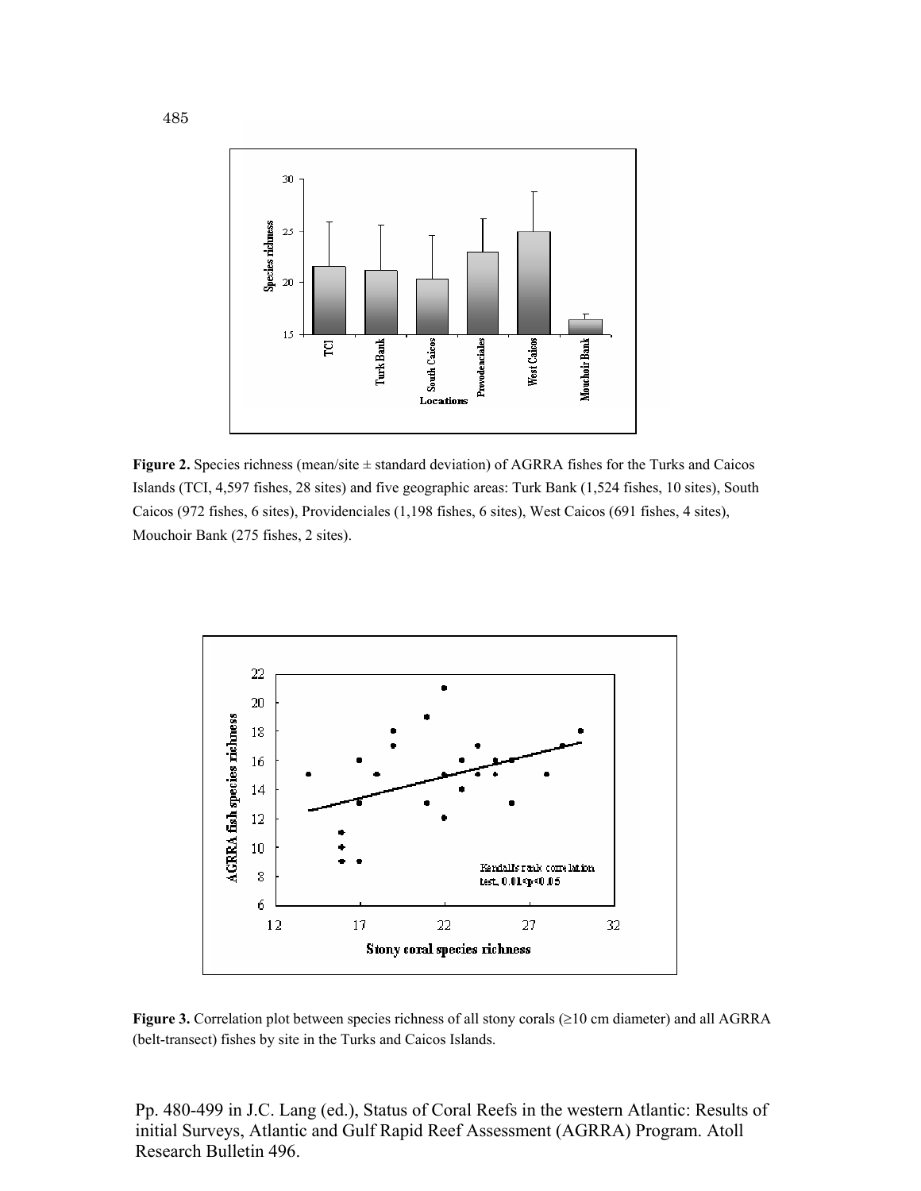

**Figure 2.** Species richness (mean/site  $\pm$  standard deviation) of AGRRA fishes for the Turks and Caicos Islands (TCI, 4,597 fishes, 28 sites) and five geographic areas: Turk Bank (1,524 fishes, 10 sites), South Caicos (972 fishes, 6 sites), Providenciales (1,198 fishes, 6 sites), West Caicos (691 fishes, 4 sites), Mouchoir Bank (275 fishes, 2 sites).



**Figure 3.** Correlation plot between species richness of all stony corals (≥10 cm diameter) and all AGRRA (belt-transect) fishes by site in the Turks and Caicos Islands.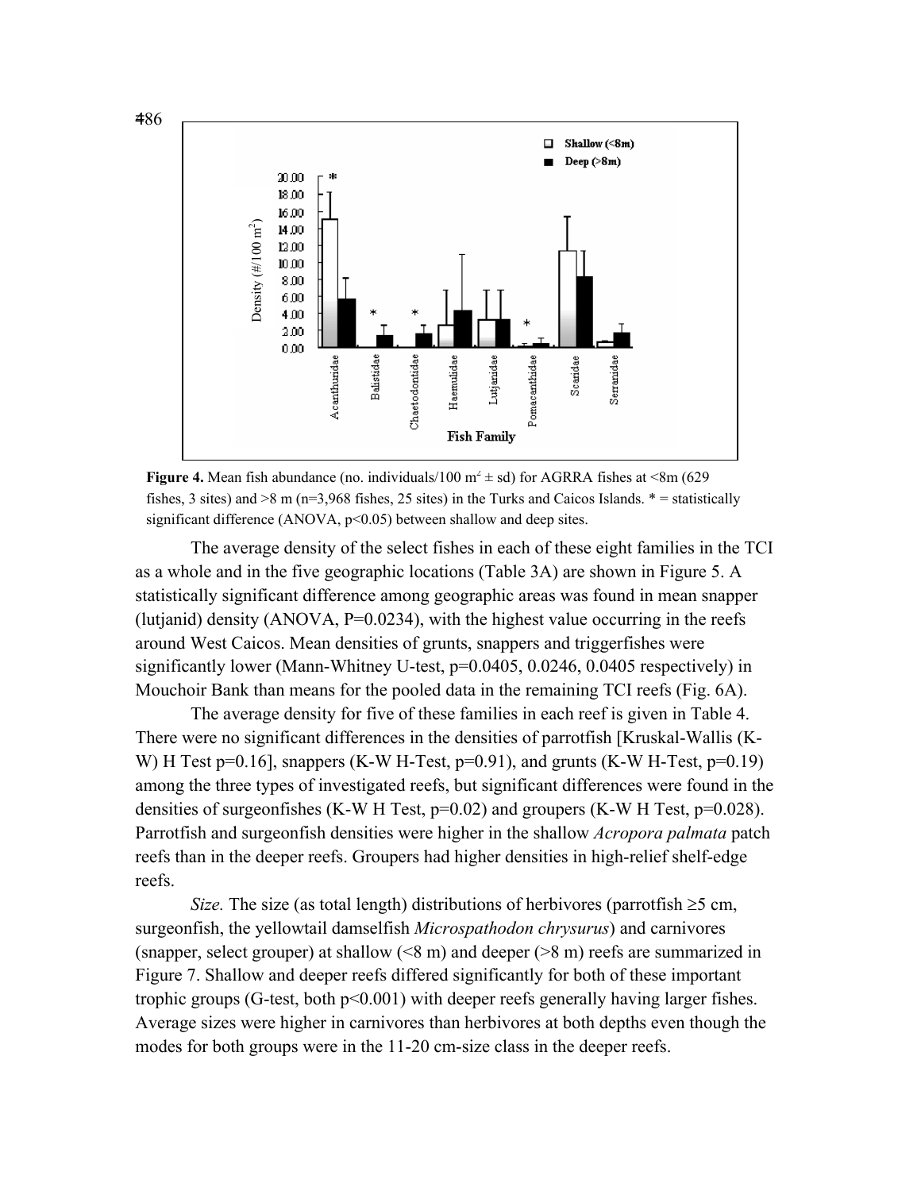

**Figure 4.** Mean fish abundance (no. individuals/100  $m^2 \pm sd$ ) for AGRRA fishes at <8m (629) fishes, 3 sites) and  $>8$  m (n=3,968 fishes, 25 sites) in the Turks and Caicos Islands.  $* =$  statistically

The average density of the select fishes in each of these eight families in the TCI as a whole and in the five geographic locations (Table 3A) are shown in Figure 5. A statistically significant difference among geographic areas was found in mean snapper (lutjanid) density (ANOVA,  $P=0.0234$ ), with the highest value occurring in the reefs around West Caicos. Mean densities of grunts, snappers and triggerfishes were significantly lower (Mann-Whitney U-test, p=0.0405, 0.0246, 0.0405 respectively) in Mouchoir Bank than means for the pooled data in the remaining TCI reefs (Fig. 6A).

The average density for five of these families in each reef is given in Table 4. There were no significant differences in the densities of parrotfish [Kruskal-Wallis (K-W) H Test p=0.16], snappers (K-W H-Test, p=0.91), and grunts (K-W H-Test, p=0.19) among the three types of investigated reefs, but significant differences were found in the densities of surgeonfishes (K-W H Test, p=0.02) and groupers (K-W H Test, p=0.028). Parrotfish and surgeonfish densities were higher in the shallow *Acropora palmata* patch reefs than in the deeper reefs. Groupers had higher densities in high-relief shelf-edge reefs.

*Size.* The size (as total length) distributions of herbivores (parrotfish  $\geq$ 5 cm, surgeonfish, the yellowtail damselfish *Microspathodon chrysurus*) and carnivores (snapper, select grouper) at shallow (<8 m) and deeper (>8 m) reefs are summarized in Figure 7. Shallow and deeper reefs differed significantly for both of these important trophic groups (G-test, both p<0.001) with deeper reefs generally having larger fishes. Average sizes were higher in carnivores than herbivores at both depths even though the modes for both groups were in the 11-20 cm-size class in the deeper reefs.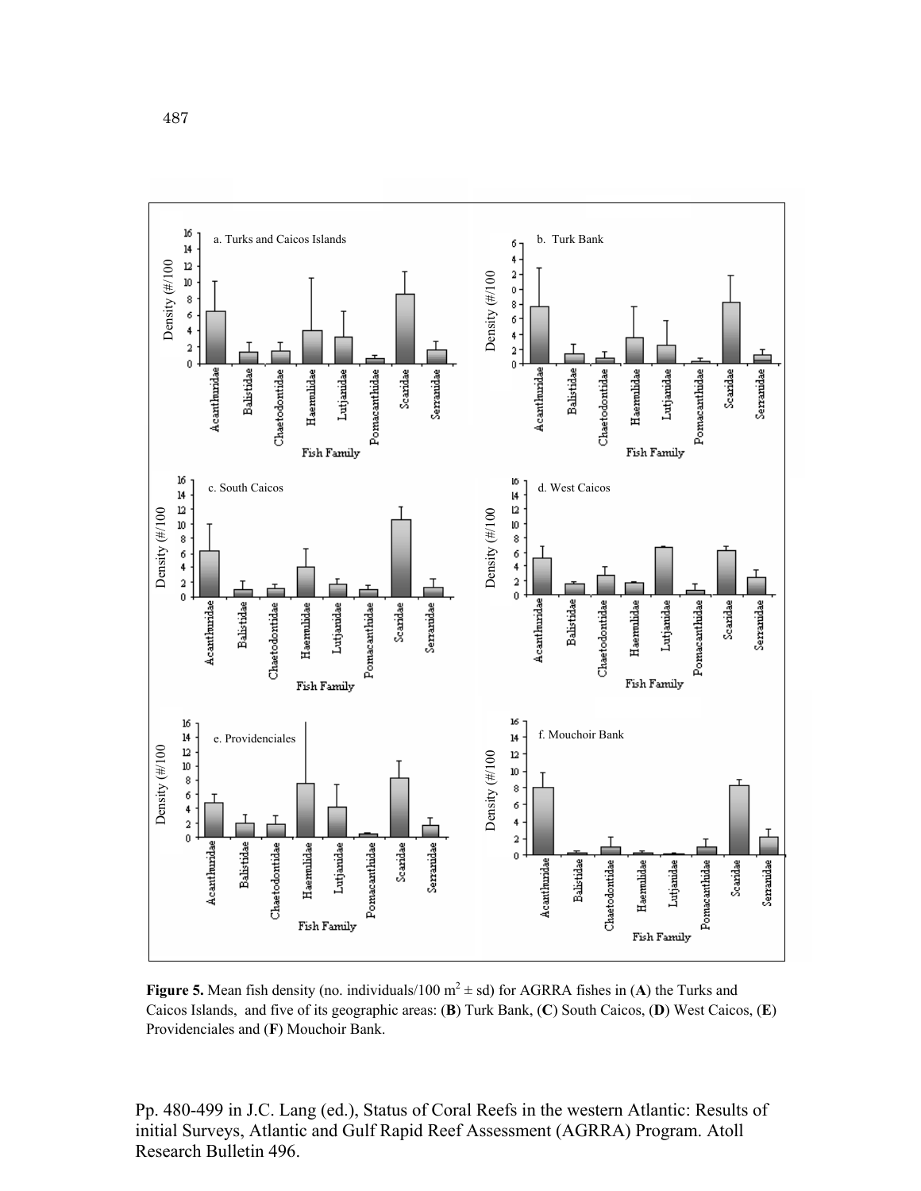

**Figure 5.** Mean fish density (no. individuals/100  $m^2 \pm sd$ ) for AGRRA fishes in (A) the Turks and Caicos Islands, and five of its geographic areas: (**B**) Turk Bank, (**C**) South Caicos, (**D**) West Caicos, (**E**) Providenciales and (**F**) Mouchoir Bank.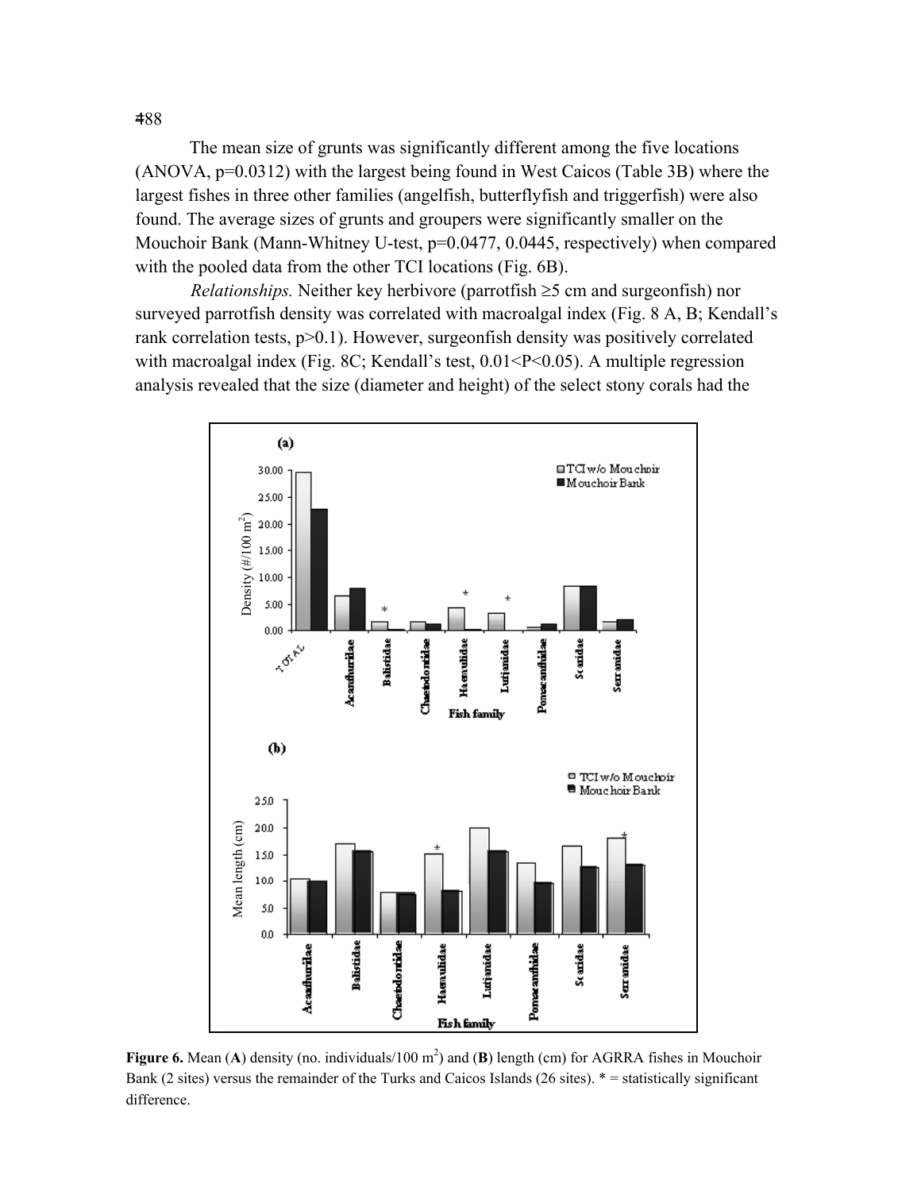The mean size of grunts was significantly different among the five locations (ANOVA, p=0.0312) with the largest being found in West Caicos (Table 3B) where the largest fishes in three other families (angelfish, butterflyfish and triggerfish) were also found. The average sizes of grunts and groupers were significantly smaller on the Mouchoir Bank (Mann-Whitney U-test, p=0.0477, 0.0445, respectively) when compared with the pooled data from the other TCI locations (Fig. 6B).

*Relationships.* Neither key herbivore (parrotfish ≥5 cm and surgeonfish) nor surveyed parrotfish density was correlated with macroalgal index (Fig. 8 A, B; Kendall's rank correlation tests,  $p>0.1$ ). However, surgeonfish density was positively correlated with macroalgal index (Fig. 8C; Kendall's test,  $0.01 < P < 0.05$ ). A multiple regression analysis revealed that the size (diameter and height) of the select stony corals had the



**Figure 6.** Mean (A) density (no. individuals/100  $m^2$ ) and (B) length (cm) for AGRRA fishes in Mouchoir Bank (2 sites) versus the remainder of the Turks and Caicos Islands (26 sites). \* = statistically significant difference.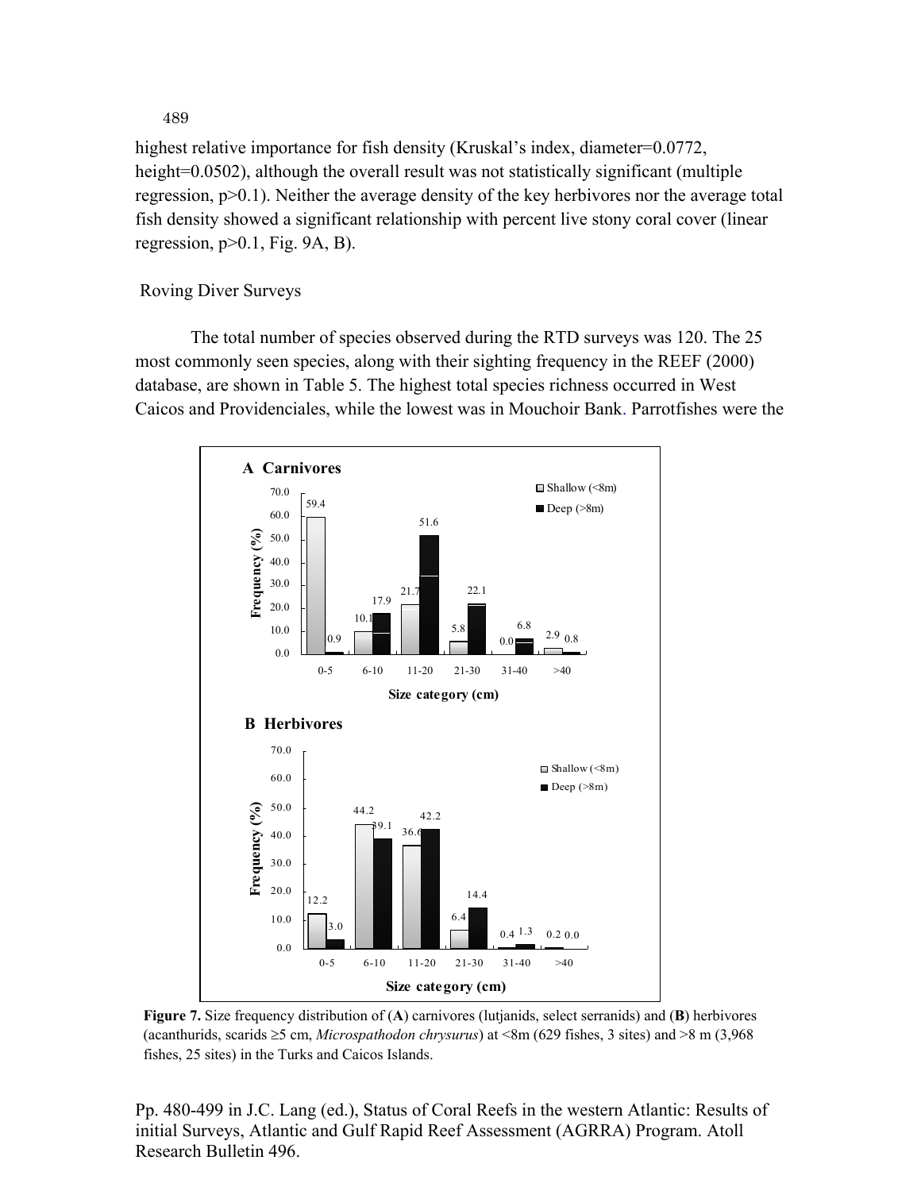highest relative importance for fish density (Kruskal's index, diameter=0.0772, height=0.0502), although the overall result was not statistically significant (multiple regression, p>0.1). Neither the average density of the key herbivores nor the average total fish density showed a significant relationship with percent live stony coral cover (linear regression,  $p>0.1$ , Fig. 9A, B).

## Roving Diver Surveys

The total number of species observed during the RTD surveys was 120. The 25 most commonly seen species, along with their sighting frequency in the REEF (2000) database, are shown in Table 5. The highest total species richness occurred in West Caicos and Providenciales, while the lowest was in Mouchoir Bank. Parrotfishes were the



**Figure 7.** Size frequency distribution of (**A**) carnivores (lutjanids, select serranids) and (**B**) herbivores (acanthurids, scarids ≥5 cm, *Microspathodon chrysurus*) at <8m (629 fishes, 3 sites) and >8 m (3,968 fishes, 25 sites) in the Turks and Caicos Islands.

Pp. 480-499 in J.C. Lang (ed.), Status of Coral Reefs in the western Atlantic: Results of initial Surveys, Atlantic and Gulf Rapid Reef Assessment (AGRRA) Program. Atoll Research Bulletin 496.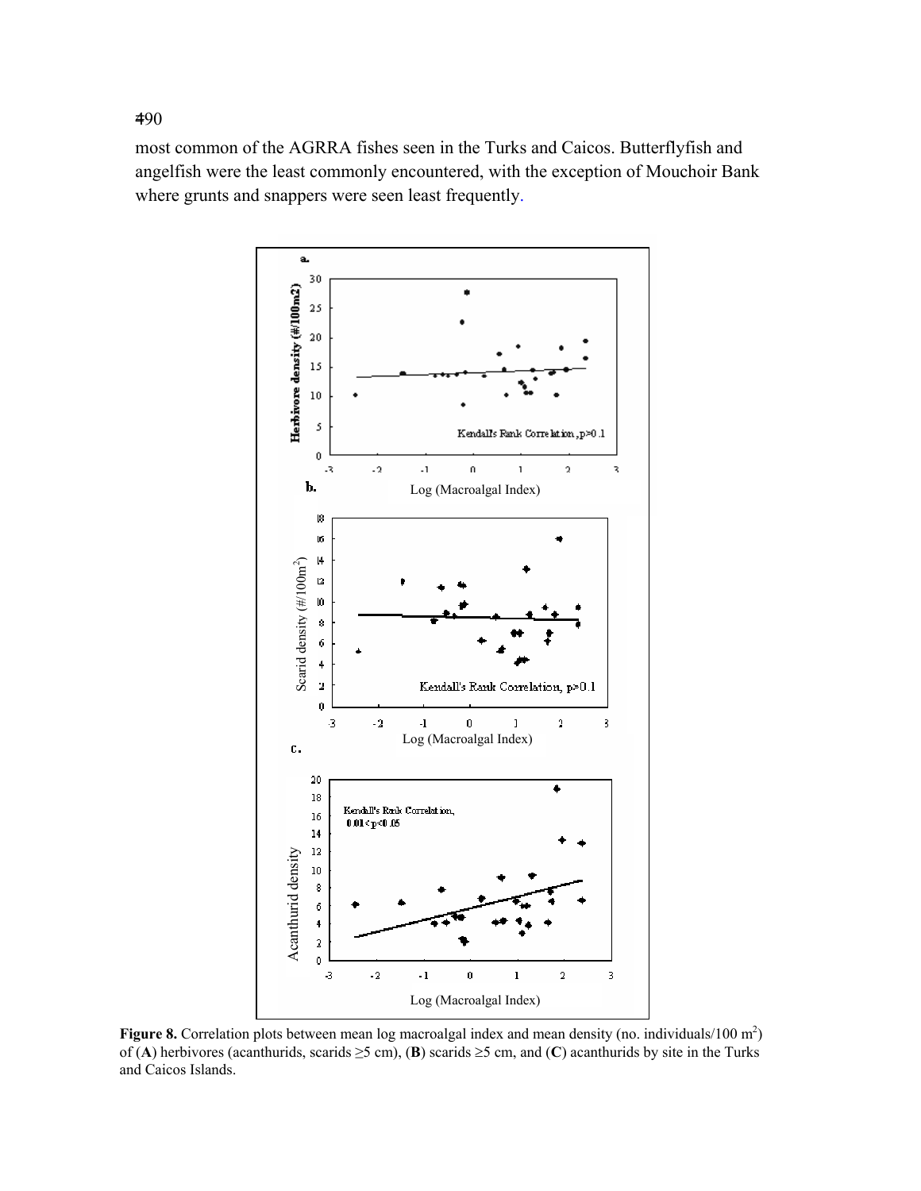most common of the AGRRA fishes seen in the Turks and Caicos. Butterflyfish and angelfish were the least commonly encountered, with the exception of Mouchoir Bank where grunts and snappers were seen least frequently.



**Figure 8.** Correlation plots between mean log macroalgal index and mean density (no. individuals/100 m<sup>2</sup>) of (**A**) herbivores (acanthurids, scarids ≥5 cm), (**B**) scarids ≥5 cm, and (**C**) acanthurids by site in the Turks and Caicos Islands.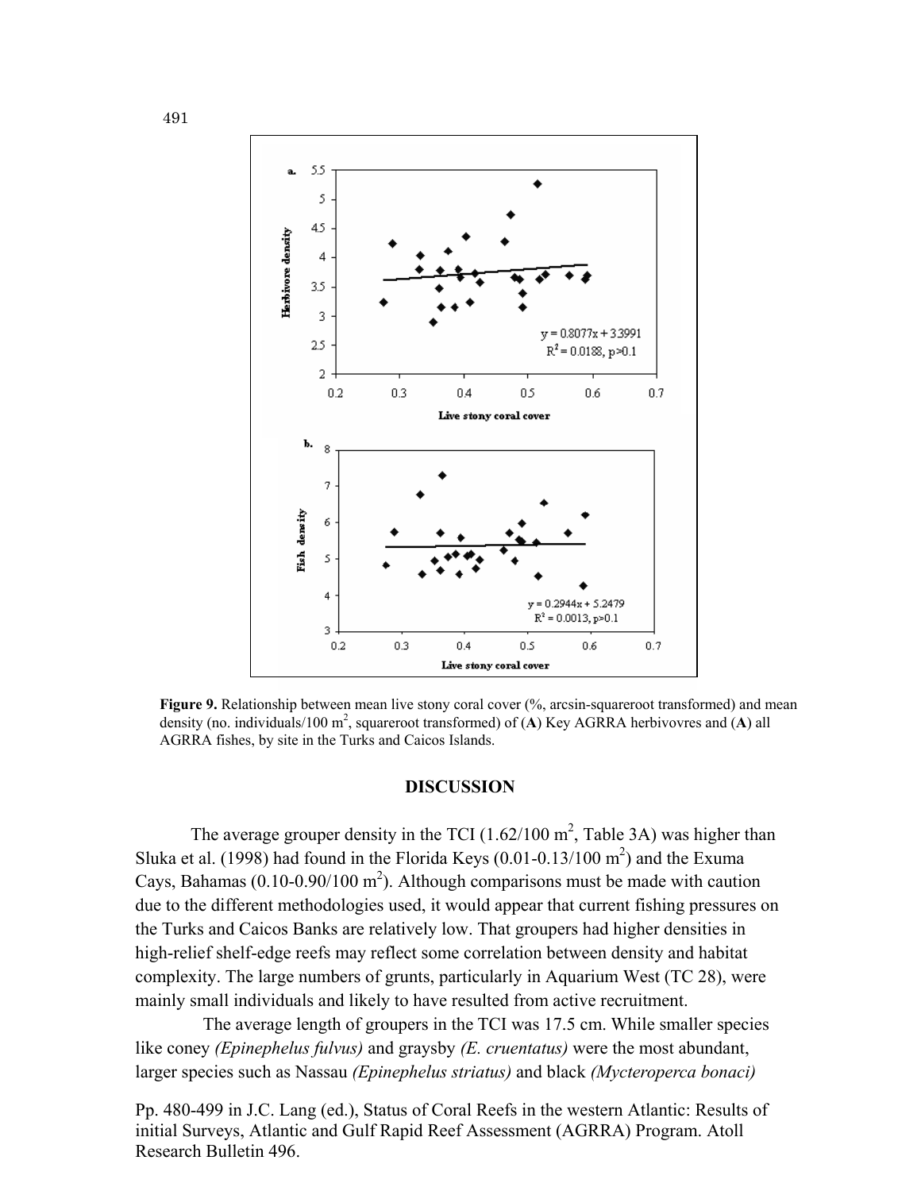

**Figure 9.** Relationship between mean live stony coral cover (%, arcsin-squareroot transformed) and mean density (no. individuals/100 m2 , squareroot transformed) of (**A**) Key AGRRA herbivovres and (**A**) all AGRRA fishes, by site in the Turks and Caicos Islands.

#### **DISCUSSION**

The average grouper density in the TCI  $(1.62/100 \text{ m}^2, \text{Table 3A})$  was higher than Sluka et al. (1998) had found in the Florida Keys (0.01-0.13/100  $m^2$ ) and the Exuma Cays, Bahamas ( $0.10$ - $0.90/100$  m<sup>2</sup>). Although comparisons must be made with caution due to the different methodologies used, it would appear that current fishing pressures on the Turks and Caicos Banks are relatively low. That groupers had higher densities in high-relief shelf-edge reefs may reflect some correlation between density and habitat complexity. The large numbers of grunts, particularly in Aquarium West (TC 28), were mainly small individuals and likely to have resulted from active recruitment.

The average length of groupers in the TCI was 17.5 cm. While smaller species like coney *(Epinephelus fulvus)* and graysby *(E. cruentatus)* were the most abundant, larger species such as Nassau *(Epinephelus striatus)* and black *(Mycteroperca bonaci)*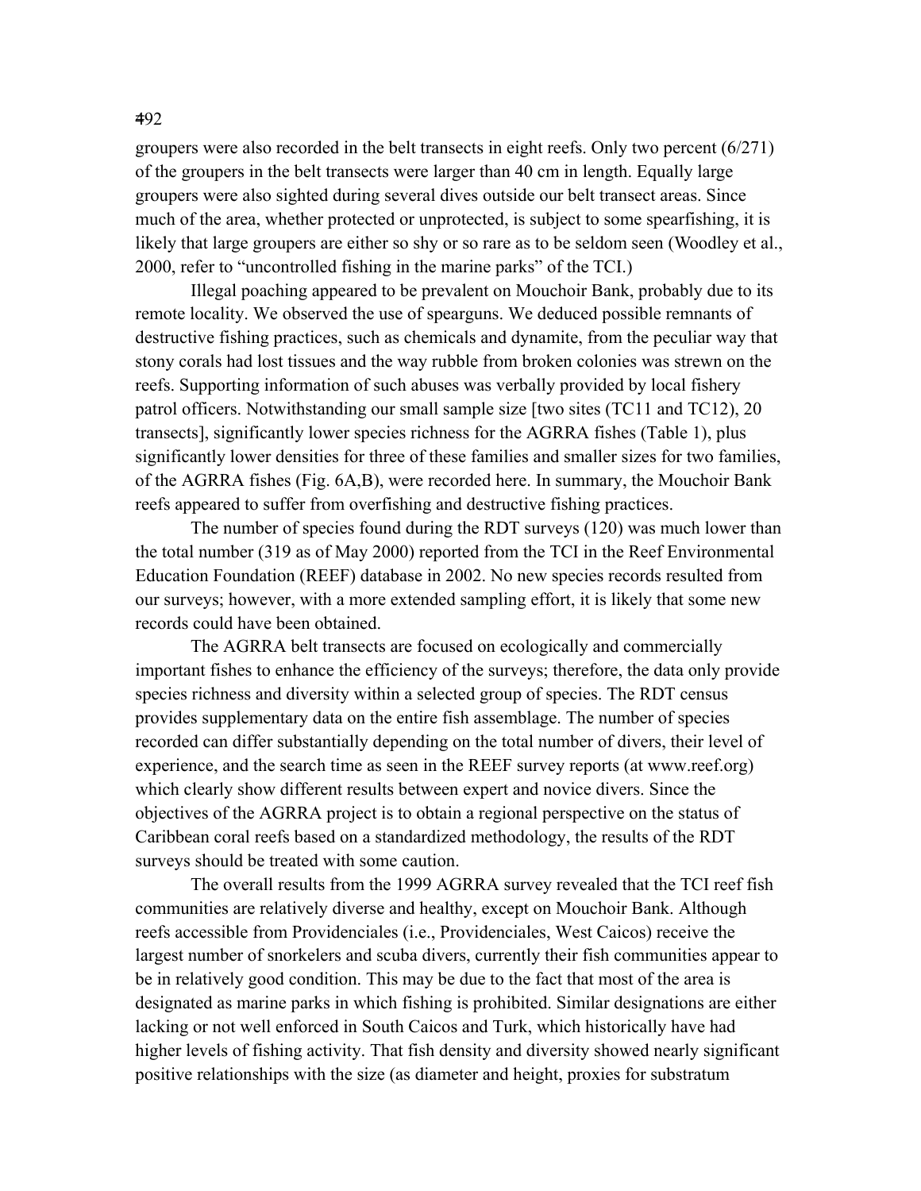groupers were also recorded in the belt transects in eight reefs. Only two percent (6/271) of the groupers in the belt transects were larger than 40 cm in length. Equally large groupers were also sighted during several dives outside our belt transect areas. Since much of the area, whether protected or unprotected, is subject to some spearfishing, it is likely that large groupers are either so shy or so rare as to be seldom seen (Woodley et al., 2000, refer to "uncontrolled fishing in the marine parks" of the TCI.)

Illegal poaching appeared to be prevalent on Mouchoir Bank, probably due to its remote locality. We observed the use of spearguns. We deduced possible remnants of destructive fishing practices, such as chemicals and dynamite, from the peculiar way that stony corals had lost tissues and the way rubble from broken colonies was strewn on the reefs. Supporting information of such abuses was verbally provided by local fishery patrol officers. Notwithstanding our small sample size [two sites (TC11 and TC12), 20 transects], significantly lower species richness for the AGRRA fishes (Table 1), plus significantly lower densities for three of these families and smaller sizes for two families, of the AGRRA fishes (Fig. 6A,B), were recorded here. In summary, the Mouchoir Bank reefs appeared to suffer from overfishing and destructive fishing practices.

The number of species found during the RDT surveys (120) was much lower than the total number (319 as of May 2000) reported from the TCI in the Reef Environmental Education Foundation (REEF) database in 2002. No new species records resulted from our surveys; however, with a more extended sampling effort, it is likely that some new records could have been obtained.

The AGRRA belt transects are focused on ecologically and commercially important fishes to enhance the efficiency of the surveys; therefore, the data only provide species richness and diversity within a selected group of species. The RDT census provides supplementary data on the entire fish assemblage. The number of species recorded can differ substantially depending on the total number of divers, their level of experience, and the search time as seen in the REEF survey reports (at www.reef.org) which clearly show different results between expert and novice divers. Since the objectives of the AGRRA project is to obtain a regional perspective on the status of Caribbean coral reefs based on a standardized methodology, the results of the RDT surveys should be treated with some caution.

The overall results from the 1999 AGRRA survey revealed that the TCI reef fish communities are relatively diverse and healthy, except on Mouchoir Bank. Although reefs accessible from Providenciales (i.e., Providenciales, West Caicos) receive the largest number of snorkelers and scuba divers, currently their fish communities appear to be in relatively good condition. This may be due to the fact that most of the area is designated as marine parks in which fishing is prohibited. Similar designations are either lacking or not well enforced in South Caicos and Turk, which historically have had higher levels of fishing activity. That fish density and diversity showed nearly significant positive relationships with the size (as diameter and height, proxies for substratum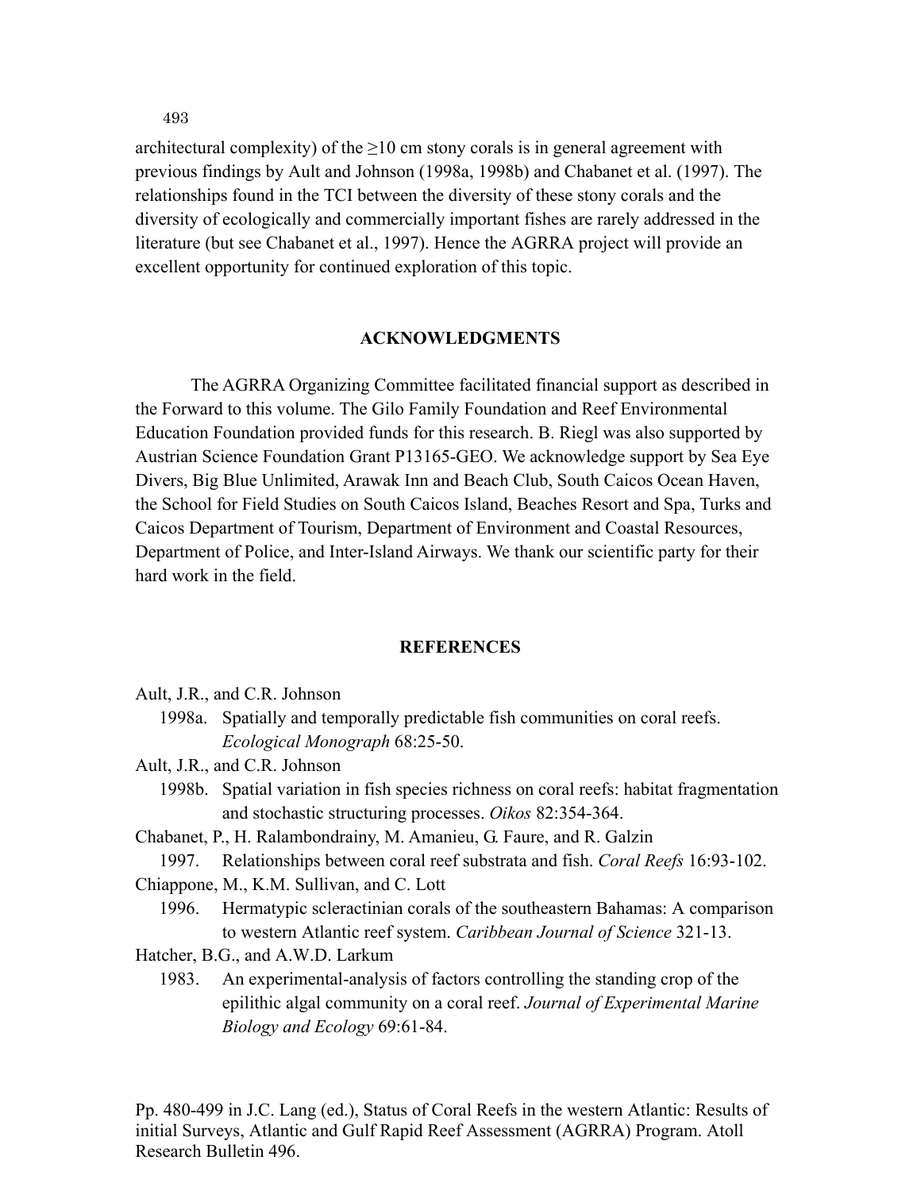architectural complexity) of the  $\geq 10$  cm stony corals is in general agreement with previous findings by Ault and Johnson (1998a, 1998b) and Chabanet et al. (1997). The relationships found in the TCI between the diversity of these stony corals and the diversity of ecologically and commercially important fishes are rarely addressed in the literature (but see Chabanet et al., 1997). Hence the AGRRA project will provide an excellent opportunity for continued exploration of this topic.

### **ACKNOWLEDGMENTS**

The AGRRA Organizing Committee facilitated financial support as described in the Forward to this volume. The Gilo Family Foundation and Reef Environmental Education Foundation provided funds for this research. B. Riegl was also supported by Austrian Science Foundation Grant P13165-GEO. We acknowledge support by Sea Eye Divers, Big Blue Unlimited, Arawak Inn and Beach Club, South Caicos Ocean Haven, the School for Field Studies on South Caicos Island, Beaches Resort and Spa, Turks and Caicos Department of Tourism, Department of Environment and Coastal Resources, Department of Police, and Inter-Island Airways. We thank our scientific party for their hard work in the field.

#### **REFERENCES**

- Ault, J.R., and C.R. Johnson
	- 1998a. Spatially and temporally predictable fish communities on coral reefs. *Ecological Monograph* 68:25-50.
- Ault, J.R., and C.R. Johnson
	- 1998b. Spatial variation in fish species richness on coral reefs: habitat fragmentation and stochastic structuring processes. *Oikos* 82:354-364.
- Chabanet, P., H. Ralambondrainy, M. Amanieu, G. Faure, and R. Galzin
	- 1997. Relationships between coral reef substrata and fish. *Coral Reefs* 16:93-102.
- Chiappone, M., K.M. Sullivan, and C. Lott
	- 1996. Hermatypic scleractinian corals of the southeastern Bahamas: A comparison to western Atlantic reef system. *Caribbean Journal of Science* 321-13.
- Hatcher, B.G., and A.W.D. Larkum
	- 1983. An experimental-analysis of factors controlling the standing crop of the epilithic algal community on a coral reef. *Journal of Experimental Marine Biology and Ecology* 69:61-84.

Pp. 480-499 in J.C. Lang (ed.), Status of Coral Reefs in the western Atlantic: Results of initial Surveys, Atlantic and Gulf Rapid Reef Assessment (AGRRA) Program. Atoll Research Bulletin 496.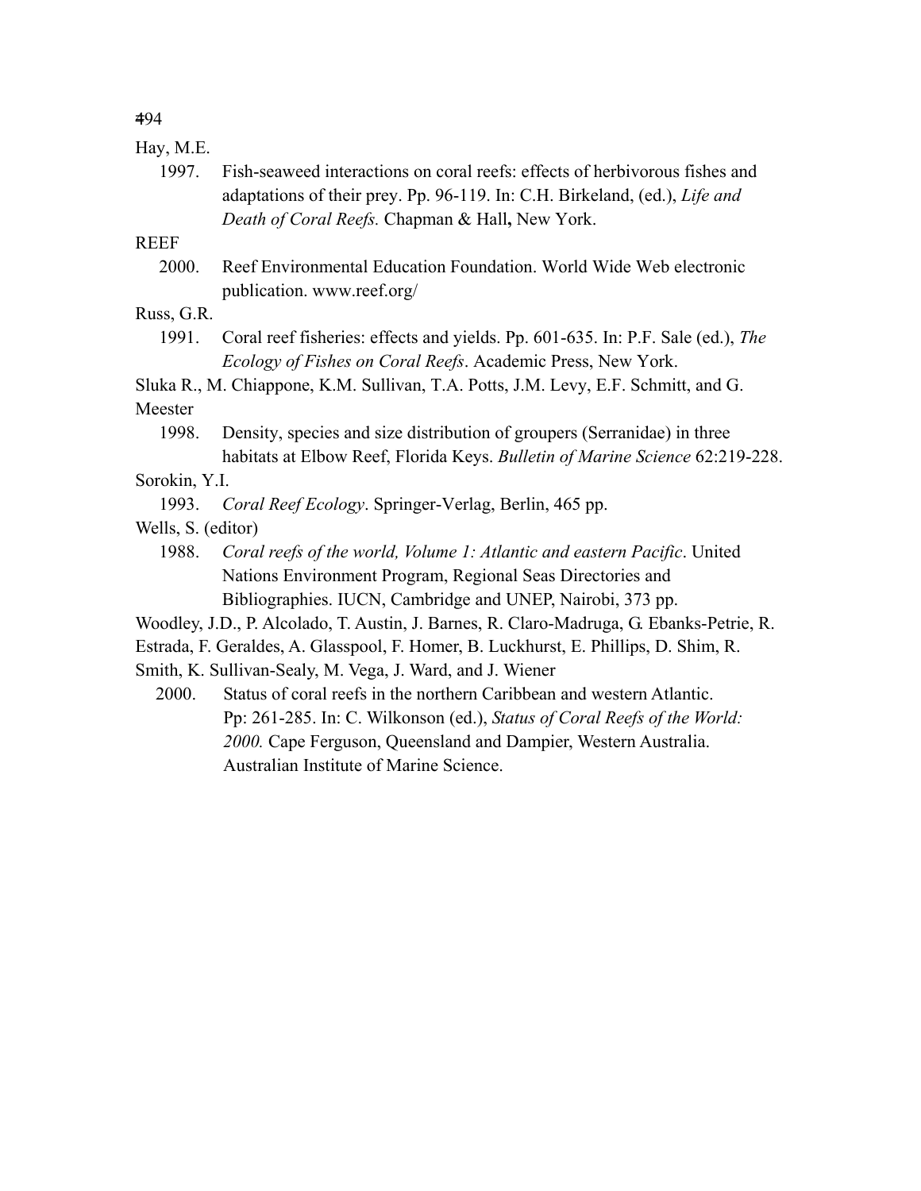# Hay, M.E.

 1997. Fish-seaweed interactions on coral reefs: effects of herbivorous fishes and adaptations of their prey. Pp. 96-119. In: C.H. Birkeland, (ed.), *Life and Death of Coral Reefs.* Chapman & Hall**,** New York.

## **REEF**

 2000. Reef Environmental Education Foundation. World Wide Web electronic publication. www.reef.org/

## Russ, G.R.

 1991. Coral reef fisheries: effects and yields. Pp. 601-635. In: P.F. Sale (ed.), *The Ecology of Fishes on Coral Reefs*. Academic Press, New York.

Sluka R., M. Chiappone, K.M. Sullivan, T.A. Potts, J.M. Levy, E.F. Schmitt, and G.

# Meester

 1998. Density, species and size distribution of groupers (Serranidae) in three habitats at Elbow Reef, Florida Keys. *Bulletin of Marine Science* 62:219-228.

## Sorokin, Y.I.

1993. *Coral Reef Ecology*. Springer-Verlag, Berlin, 465 pp.

## Wells, S. (editor)

- 1988. *Coral reefs of the world, Volume 1: Atlantic and eastern Pacific*. United Nations Environment Program, Regional Seas Directories and Bibliographies. IUCN, Cambridge and UNEP, Nairobi, 373 pp.
- Woodley, J.D., P. Alcolado, T. Austin, J. Barnes, R. Claro-Madruga, G. Ebanks-Petrie, R.
- Estrada, F. Geraldes, A. Glasspool, F. Homer, B. Luckhurst, E. Phillips, D. Shim, R.
- Smith, K. Sullivan-Sealy, M. Vega, J. Ward, and J. Wiener
	- 2000. Status of coral reefs in the northern Caribbean and western Atlantic. Pp: 261-285. In: C. Wilkonson (ed.), *Status of Coral Reefs of the World: 2000.* Cape Ferguson, Queensland and Dampier, Western Australia. Australian Institute of Marine Science.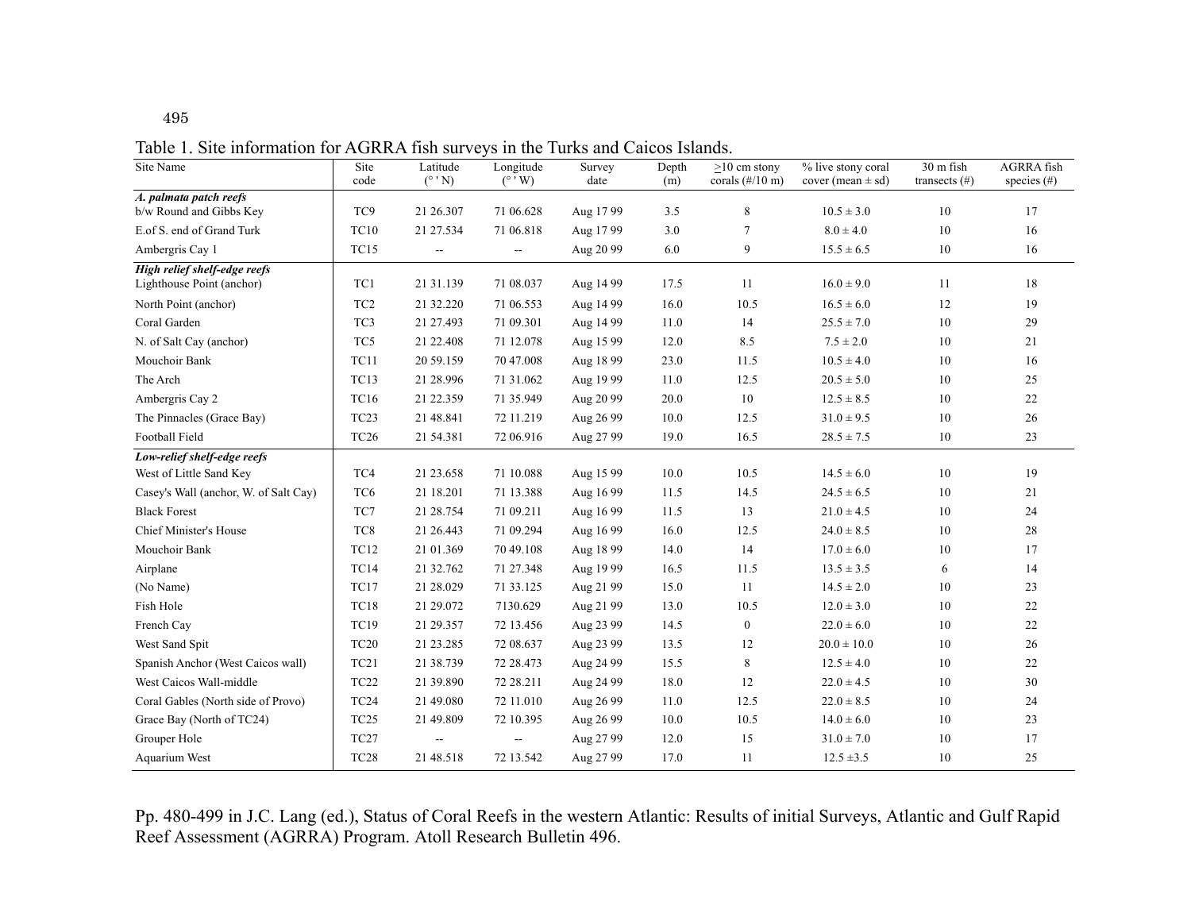495

Table 1. Site information for AGRRA fish surveys in the Turks and Caicos Islands.

| Site Name                                                 | Site<br>code     | Latitude<br>$(^{\circ}$ 'N) | Longitude<br>$(^{\circ}$ 'W) | Survey<br>date | Depth<br>(m) | $>10$ cm stony<br>corals $(\frac{\#}{10})$ m) | % live stony coral<br>cover (mean $\pm$ sd) | 30 m fish<br>transects $(\#)$ | <b>AGRRA</b> fish<br>species $(\#)$ |
|-----------------------------------------------------------|------------------|-----------------------------|------------------------------|----------------|--------------|-----------------------------------------------|---------------------------------------------|-------------------------------|-------------------------------------|
| A. palmata patch reefs                                    |                  |                             |                              |                |              |                                               |                                             |                               |                                     |
| b/w Round and Gibbs Key                                   | TC <sub>9</sub>  | 21 26.307                   | 71 06.628                    | Aug 17 99      | 3.5          | 8                                             | $10.5 \pm 3.0$                              | 10                            | 17                                  |
| E.of S. end of Grand Turk                                 | <b>TC10</b>      | 21 27 534                   | 71 06.818                    | Aug 17 99      | 3.0          | $\overline{7}$                                | $8.0 \pm 4.0$                               | 10                            | 16                                  |
| Ambergris Cay 1                                           | TC15             | $\sim$                      | $\sim$ $\sim$                | Aug 20 99      | 6.0          | 9                                             | $15.5 \pm 6.5$                              | 10                            | 16                                  |
| High relief shelf-edge reefs<br>Lighthouse Point (anchor) | TC1              | 21 31 139                   | 71 08:037                    | Aug 14 99      | 17.5         | 11                                            | $16.0 \pm 9.0$                              | 11                            | 18                                  |
|                                                           | TC <sub>2</sub>  | 21 32.220                   | 71 06.553                    |                | 16.0         | 10.5                                          |                                             | 12                            | 19                                  |
| North Point (anchor)                                      |                  |                             |                              | Aug 14 99      |              |                                               | $16.5 \pm 6.0$                              |                               |                                     |
| Coral Garden                                              | TC <sub>3</sub>  | 21 27.493                   | 71 09:301                    | Aug 14 99      | 11.0         | 14                                            | $25.5 \pm 7.0$                              | 10                            | 29                                  |
| N. of Salt Cay (anchor)                                   | TC5              | 21 22.408                   | 71 12.078                    | Aug 15 99      | 12.0         | 8.5                                           | $7.5 \pm 2.0$                               | 10                            | 21                                  |
| Mouchoir Bank                                             | <b>TC11</b>      | 20 59.159                   | 70 47.008                    | Aug 18 99      | 23.0         | 11.5                                          | $10.5 \pm 4.0$                              | 10                            | 16                                  |
| The Arch                                                  | <b>TC13</b>      | 21 28.996                   | 71 31 062                    | Aug 19 99      | 11.0         | 12.5                                          | $20.5 \pm 5.0$                              | 10                            | $25\,$                              |
| Ambergris Cay 2                                           | <b>TC16</b>      | 21 22.359                   | 71 35.949                    | Aug 20 99      | 20.0         | 10                                            | $12.5 \pm 8.5$                              | 10                            | 22                                  |
| The Pinnacles (Grace Bay)                                 | TC <sub>23</sub> | 21 48.841                   | 72 11.219                    | Aug 26 99      | 10.0         | 12.5                                          | $31.0 \pm 9.5$                              | 10                            | 26                                  |
| Football Field                                            | <b>TC26</b>      | 21 54.381                   | 72 06.916                    | Aug 27 99      | 19.0         | 16.5                                          | $28.5 \pm 7.5$                              | 10                            | 23                                  |
| Low-relief shelf-edge reefs                               |                  |                             |                              |                |              |                                               |                                             |                               |                                     |
| West of Little Sand Key                                   | TC4              | 21 23.658                   | 71 10.088                    | Aug 15 99      | 10.0         | 10.5                                          | $14.5 \pm 6.0$                              | 10                            | 19                                  |
| Casey's Wall (anchor, W. of Salt Cay)                     | TC <sub>6</sub>  | 21 18.201                   | 71 13.388                    | Aug 16 99      | 11.5         | 14.5                                          | $24.5 \pm 6.5$                              | 10                            | 21                                  |
| <b>Black Forest</b>                                       | TC7              | 21 28.754                   | 71 09.211                    | Aug 16 99      | 11.5         | 13                                            | $21.0 \pm 4.5$                              | 10                            | 24                                  |
| <b>Chief Minister's House</b>                             | TC8              | 21 26.443                   | 71 09.294                    | Aug 16 99      | 16.0         | 12.5                                          | $24.0 \pm 8.5$                              | 10                            | 28                                  |
| Mouchoir Bank                                             | <b>TC12</b>      | 21 01:369                   | 70 49.108                    | Aug 18 99      | 14.0         | 14                                            | $17.0 \pm 6.0$                              | 10                            | 17                                  |
| Airplane                                                  | TC14             | 21 32.762                   | 71 27 348                    | Aug 19 99      | 16.5         | 11.5                                          | $13.5 \pm 3.5$                              | 6                             | 14                                  |
| (No Name)                                                 | TC17             | 21 28 029                   | 71 33.125                    | Aug 21 99      | 15.0         | 11                                            | $14.5 \pm 2.0$                              | 10                            | 23                                  |
| Fish Hole                                                 | <b>TC18</b>      | 21 29 072                   | 7130.629                     | Aug 21 99      | 13.0         | 10.5                                          | $12.0 \pm 3.0$                              | 10                            | 22                                  |
| French Cay                                                | <b>TC19</b>      | 21 29 357                   | 72 13.456                    | Aug 23 99      | 14.5         | $\boldsymbol{0}$                              | $22.0 \pm 6.0$                              | 10                            | 22                                  |
| West Sand Spit                                            | TC20             | 21 23 285                   | 72 08:637                    | Aug 23 99      | 13.5         | 12                                            | $20.0 \pm 10.0$                             | 10                            | 26                                  |
| Spanish Anchor (West Caicos wall)                         | TC <sub>21</sub> | 21 38.739                   | 72 28.473                    | Aug 24 99      | 15.5         | 8                                             | $12.5 \pm 4.0$                              | 10                            | 22                                  |
| West Caicos Wall-middle                                   | TC <sub>22</sub> | 21 39.890                   | 72 28.211                    | Aug 24 99      | 18.0         | 12                                            | $22.0 \pm 4.5$                              | 10                            | 30                                  |
| Coral Gables (North side of Provo)                        | TC <sub>24</sub> | 21 49.080                   | 72 11.010                    | Aug 26 99      | 11.0         | 12.5                                          | $22.0 \pm 8.5$                              | 10                            | 24                                  |
| Grace Bay (North of TC24)                                 | TC <sub>25</sub> | 21 49.809                   | 72 10.395                    | Aug 26 99      | 10.0         | 10.5                                          | $14.0 \pm 6.0$                              | 10                            | 23                                  |
| Grouper Hole                                              | TC <sub>27</sub> |                             | $\overline{\phantom{a}}$     | Aug 27 99      | 12.0         | 15                                            | $31.0 \pm 7.0$                              | 10                            | 17                                  |
| Aquarium West                                             | TC <sub>28</sub> | 21 48.518                   | 72 13.542                    | Aug 27 99      | 17.0         | 11                                            | $12.5 \pm 3.5$                              | 10                            | 25                                  |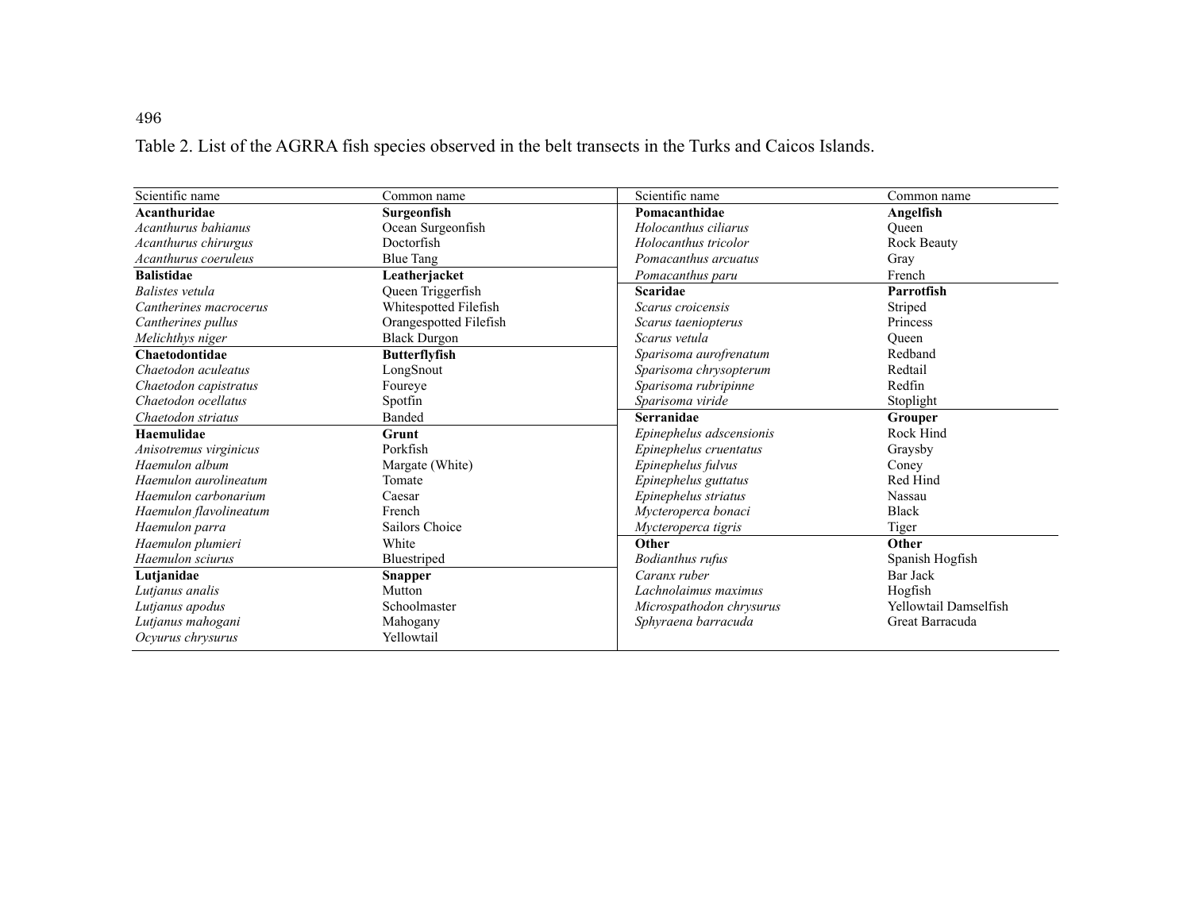Table 2. List of the AGRRA fish species observed in the belt transects in the Turks and Caicos Islands.

| Scientific name        | Common name            | Scientific name          | Common name                  |
|------------------------|------------------------|--------------------------|------------------------------|
| Acanthuridae           | Surgeonfish            | Pomacanthidae            | Angelfish                    |
| Acanthurus bahianus    | Ocean Surgeonfish      | Holocanthus ciliarus     | Oueen                        |
| Acanthurus chirurgus   | Doctorfish             | Holocanthus tricolor     | Rock Beauty                  |
| Acanthurus coeruleus   | <b>Blue Tang</b>       | Pomacanthus arcuatus     | Gray                         |
| <b>Balistidae</b>      | Leatherjacket          | Pomacanthus paru         | French                       |
| Balistes vetula        | Queen Triggerfish      | <b>Scaridae</b>          | <b>Parrotfish</b>            |
| Cantherines macrocerus | Whitespotted Filefish  | Scarus croicensis        | Striped                      |
| Cantherines pullus     | Orangespotted Filefish | Scarus taeniopterus      | Princess                     |
| Melichthys niger       | <b>Black Durgon</b>    | Scarus vetula            | Oueen                        |
| Chaetodontidae         | <b>Butterflyfish</b>   | Sparisoma aurofrenatum   | Redband                      |
| Chaetodon aculeatus    | LongSnout              | Sparisoma chrysopterum   | Redtail                      |
| Chaetodon capistratus  | Foureye                | Sparisoma rubripinne     | Redfin                       |
| Chaetodon ocellatus    | Spotfin                | Sparisoma viride         | Stoplight                    |
| Chaetodon striatus     | Banded                 | <b>Serranidae</b>        | Grouper                      |
| Haemulidae             | Grunt                  | Epinephelus adscensionis | Rock Hind                    |
| Anisotremus virginicus | Porkfish               | Epinephelus cruentatus   | Graysby                      |
| Haemulon album         | Margate (White)        | Epinephelus fulvus       | Coney                        |
| Haemulon aurolineatum  | Tomate                 | Epinephelus guttatus     | Red Hind                     |
| Haemulon carbonarium   | Caesar                 | Epinephelus striatus     | Nassau                       |
| Haemulon flavolineatum | French                 | Mycteroperca bonaci      | <b>Black</b>                 |
| Haemulon parra         | Sailors Choice         | Mycteroperca tigris      | Tiger                        |
| Haemulon plumieri      | White                  | Other                    | Other                        |
| Haemulon sciurus       | Bluestriped            | <b>Bodianthus rufus</b>  | Spanish Hogfish              |
| Lutjanidae             | Snapper                | Caranx ruber             | Bar Jack                     |
| Lutjanus analis        | Mutton                 | Lachnolaimus maximus     | Hogfish                      |
| Lutjanus apodus        | Schoolmaster           | Microspathodon chrysurus | <b>Yellowtail Damselfish</b> |
| Lutjanus mahogani      | Mahogany               | Sphyraena barracuda      | Great Barracuda              |
| Ocyurus chrysurus      | Yellowtail             |                          |                              |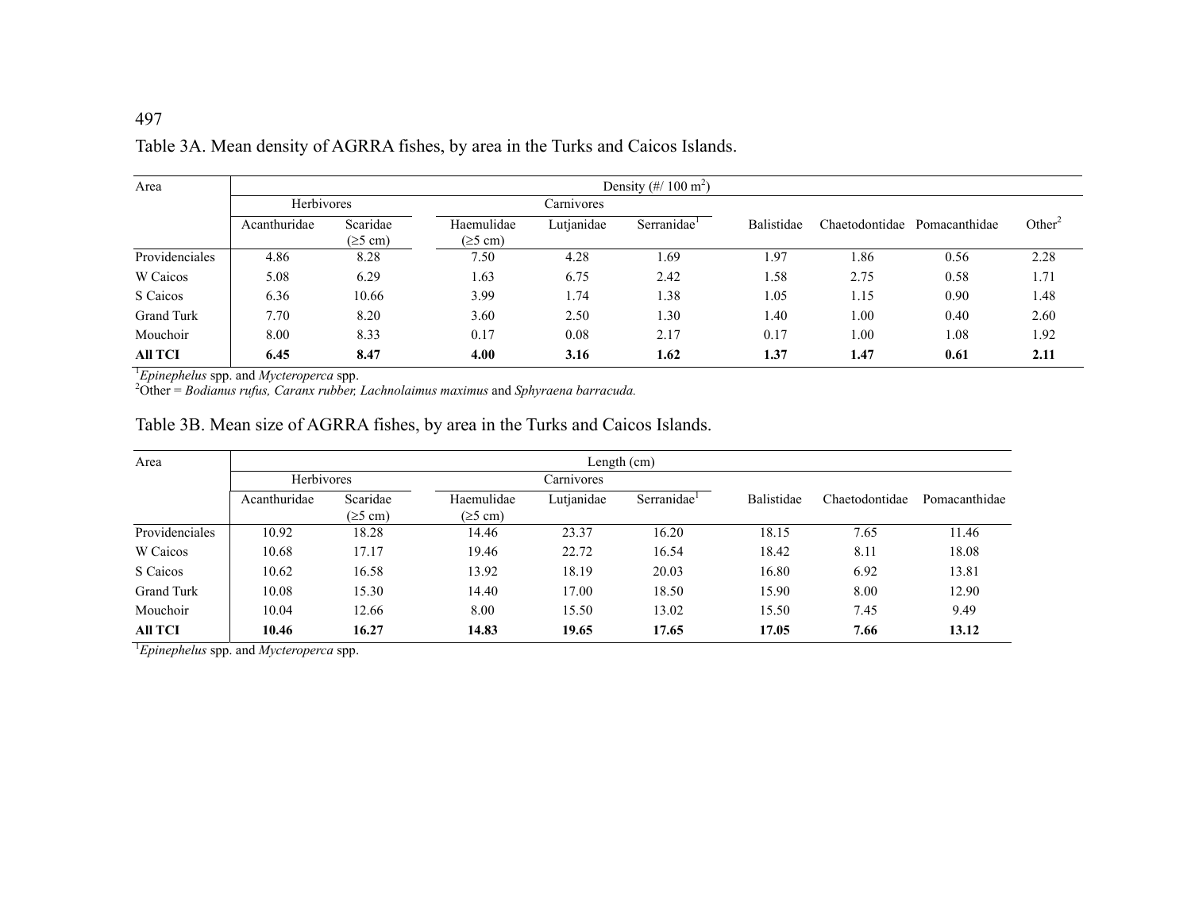| Area              | Density $(\frac{\#}{100 \text{ m}^2})$ |                           |                                     |            |                         |            |                |               |                    |
|-------------------|----------------------------------------|---------------------------|-------------------------------------|------------|-------------------------|------------|----------------|---------------|--------------------|
|                   | Herbivores                             |                           | Carnivores                          |            |                         |            |                |               |                    |
|                   | Acanthuridae                           | Scaridae<br>$(\geq 5$ cm) | Haemulidae<br>$(\geq 5 \text{ cm})$ | Lutjanidae | Serranidae <sup>1</sup> | Balistidae | Chaetodontidae | Pomacanthidae | Other <sup>2</sup> |
| Providenciales    | 4.86                                   | 8.28                      | 7.50                                | 4.28       | 1.69                    | 1.97       | 1.86           | 0.56          | 2.28               |
| W Caicos          | 5.08                                   | 6.29                      | 1.63                                | 6.75       | 2.42                    | 1.58       | 2.75           | 0.58          | 1.71               |
| S Caicos          | 6.36                                   | 10.66                     | 3.99                                | 1.74       | 1.38                    | 1.05       | 1.15           | 0.90          | 1.48               |
| <b>Grand Turk</b> | 7.70                                   | 8.20                      | 3.60                                | 2.50       | 1.30                    | 1.40       | 1.00           | 0.40          | 2.60               |
| Mouchoir          | 8.00                                   | 8.33                      | 0.17                                | 0.08       | 2.17                    | 0.17       | 1.00           | 1.08          | 1.92               |
| <b>All TCI</b>    | 6.45                                   | 8.47                      | 4.00                                | 3.16       | 1.62                    | 1.37       | 1.47           | 0.61          | 2.11               |

## Table 3A. Mean density of AGRRA fishes, by area in the Turks and Caicos Islands.

<sup>1</sup>*Epinephelus* spp. and *Mycteroperca* spp.

2Other = *Bodianus rufus, Caranx rubber, Lachnolaimus maximus* and *Sphyraena barracuda.*

# Table 3B. Mean size of AGRRA fishes, by area in the Turks and Caicos Islands.

| Area                     | Length (cm)  |                           |                                     |            |                         |            |                |               |
|--------------------------|--------------|---------------------------|-------------------------------------|------------|-------------------------|------------|----------------|---------------|
| Herbivores<br>Carnivores |              |                           |                                     |            |                         |            |                |               |
|                          | Acanthuridae | Scaridae<br>$(\geq 5$ cm) | Haemulidae<br>$(\geq 5 \text{ cm})$ | Lutjanidae | Serranidae <sup>1</sup> | Balistidae | Chaetodontidae | Pomacanthidae |
| Providenciales           | 10.92        | 18.28                     | 14.46                               | 23.37      | 16.20                   | 18.15      | 7.65           | 11.46         |
| W Caicos                 | 10.68        | 17.17                     | 19.46                               | 22.72      | 16.54                   | 18.42      | 8.11           | 18.08         |
| S Caicos                 | 10.62        | 16.58                     | 13.92                               | 18.19      | 20.03                   | 16.80      | 6.92           | 13.81         |
| <b>Grand Turk</b>        | 10.08        | 15.30                     | 14.40                               | 17.00      | 18.50                   | 15.90      | 8.00           | 12.90         |
| Mouchoir                 | 10.04        | 12.66                     | 8.00                                | 15.50      | 13.02                   | 15.50      | 7.45           | 9.49          |
| All TCI                  | 10.46        | 16.27                     | 14.83                               | 19.65      | 17.65                   | 17.05      | 7.66           | 13.12         |

<sup>1</sup>*Epinephelus* spp. and *Mycteroperca* spp.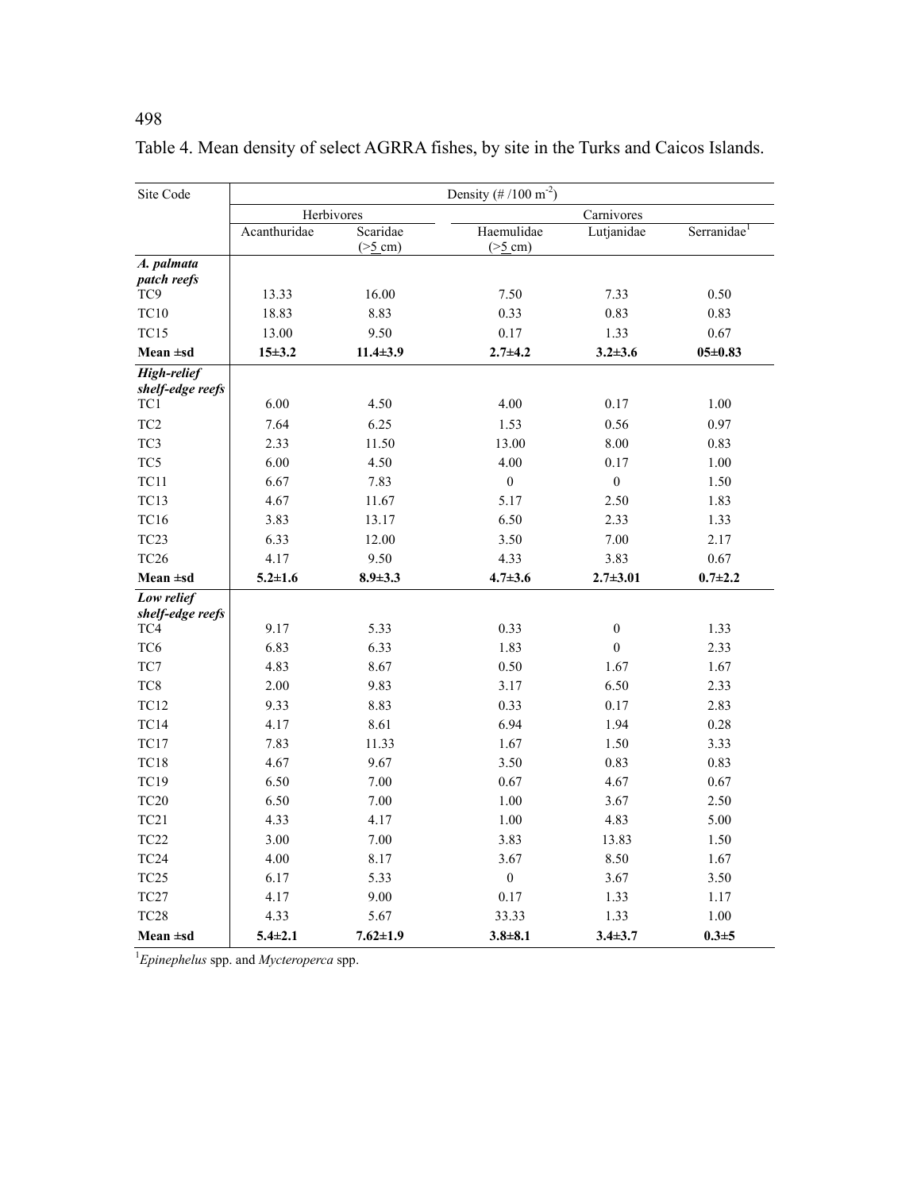| Site Code                       | Density $(\# / 100 \text{ m}^{-2})$ |                                   |                                     |                          |                         |  |  |  |
|---------------------------------|-------------------------------------|-----------------------------------|-------------------------------------|--------------------------|-------------------------|--|--|--|
|                                 | Herbivores                          |                                   |                                     |                          |                         |  |  |  |
|                                 | Acanthuridae                        | Scaridae<br>$(>\underline{5}$ cm) | Haemulidae<br>$(>\underline{5}$ cm) | Carnivores<br>Lutjanidae | Serranidae <sup>1</sup> |  |  |  |
| A. palmata<br>patch reefs       |                                     |                                   |                                     |                          |                         |  |  |  |
| TC9                             | 13.33                               | 16.00                             | 7.50                                | 7.33                     | 0.50                    |  |  |  |
| <b>TC10</b>                     | 18.83                               | 8.83                              | 0.33                                | 0.83                     | 0.83                    |  |  |  |
| <b>TC15</b>                     | 13.00                               | 9.50                              | 0.17                                | 1.33                     | 0.67                    |  |  |  |
| Mean $\pm$ sd                   | $15 + 3.2$                          | $11.4 \pm 3.9$                    | $2.7 + 4.2$                         | $3.2 + 3.6$              | $05 \pm 0.83$           |  |  |  |
| High-relief<br>shelf-edge reefs |                                     |                                   |                                     |                          |                         |  |  |  |
| TC1                             | 6.00                                | 4.50                              | 4.00                                | 0.17                     | 1.00                    |  |  |  |
| TC <sub>2</sub>                 | 7.64                                | 6.25                              | 1.53                                | 0.56                     | 0.97                    |  |  |  |
| TC3                             | 2.33                                | 11.50                             | 13.00                               | 8.00                     | 0.83                    |  |  |  |
| TC5                             | 6.00                                | 4.50                              | 4.00                                | 0.17                     | 1.00                    |  |  |  |
| <b>TC11</b>                     | 6.67                                | 7.83                              | $\boldsymbol{0}$                    | $\boldsymbol{0}$         | 1.50                    |  |  |  |
| <b>TC13</b>                     | 4.67                                | 11.67                             | 5.17                                | 2.50                     | 1.83                    |  |  |  |
| <b>TC16</b>                     | 3.83                                | 13.17                             | 6.50                                | 2.33                     | 1.33                    |  |  |  |
| TC <sub>23</sub>                | 6.33                                | 12.00                             | 3.50                                | 7.00                     | 2.17                    |  |  |  |
| TC <sub>26</sub>                | 4.17                                | 9.50                              | 4.33                                | 3.83                     | $0.67\,$                |  |  |  |
| Mean $\pm$ sd                   | $5.2 \pm 1.6$                       | $8.9 \pm 3.3$                     | $4.7 \pm 3.6$                       | $2.7 + 3.01$             | $0.7 + 2.2$             |  |  |  |
| Low relief<br>shelf-edge reefs  |                                     |                                   |                                     |                          |                         |  |  |  |
| TC4                             | 9.17                                | 5.33                              | 0.33                                | $\boldsymbol{0}$         | 1.33                    |  |  |  |
| TC <sub>6</sub>                 | 6.83                                | 6.33                              | 1.83                                | $\boldsymbol{0}$         | 2.33                    |  |  |  |
| TC7                             | 4.83                                | 8.67                              | 0.50                                | 1.67                     | 1.67                    |  |  |  |
| TC8                             | 2.00                                | 9.83                              | 3.17                                | 6.50                     | 2.33                    |  |  |  |
| <b>TC12</b>                     | 9.33                                | 8.83                              | 0.33                                | 0.17                     | 2.83                    |  |  |  |
| <b>TC14</b>                     | 4.17                                | 8.61                              | 6.94                                | 1.94                     | 0.28                    |  |  |  |
| <b>TC17</b>                     | 7.83                                | 11.33                             | 1.67                                | 1.50                     | 3.33                    |  |  |  |
| <b>TC18</b>                     | 4.67                                | 9.67                              | 3.50                                | 0.83                     | 0.83                    |  |  |  |
| <b>TC19</b>                     | 6.50                                | 7.00                              | 0.67                                | 4.67                     | 0.67                    |  |  |  |
| <b>TC20</b>                     | 6.50                                | 7.00                              | 1.00                                | 3.67                     | 2.50                    |  |  |  |
| TC21                            | 4.33                                | 4.17                              | 1.00                                | 4.83                     | 5.00                    |  |  |  |
| <b>TC22</b>                     | 3.00                                | 7.00                              | 3.83                                | 13.83                    | 1.50                    |  |  |  |
| TC <sub>24</sub>                | 4.00                                | 8.17                              | 3.67                                | 8.50                     | 1.67                    |  |  |  |
| TC <sub>25</sub>                | 6.17                                | 5.33                              | $\boldsymbol{0}$                    | 3.67                     | 3.50                    |  |  |  |
| TC <sub>27</sub>                | 4.17                                | 9.00                              | 0.17                                | 1.33                     | 1.17                    |  |  |  |
| <b>TC28</b>                     | 4.33                                | 5.67                              | 33.33                               | 1.33                     | 1.00                    |  |  |  |
| Mean $\pm$ sd                   | $5.4 \pm 2.1$                       | $7.62 \pm 1.9$                    | $3.8 + 8.1$                         | $3.4 + 3.7$              | $0.3 + 5$               |  |  |  |

Table 4. Mean density of select AGRRA fishes, by site in the Turks and Caicos Islands.

1 *Epinephelus* spp. and *Mycteroperca* spp.